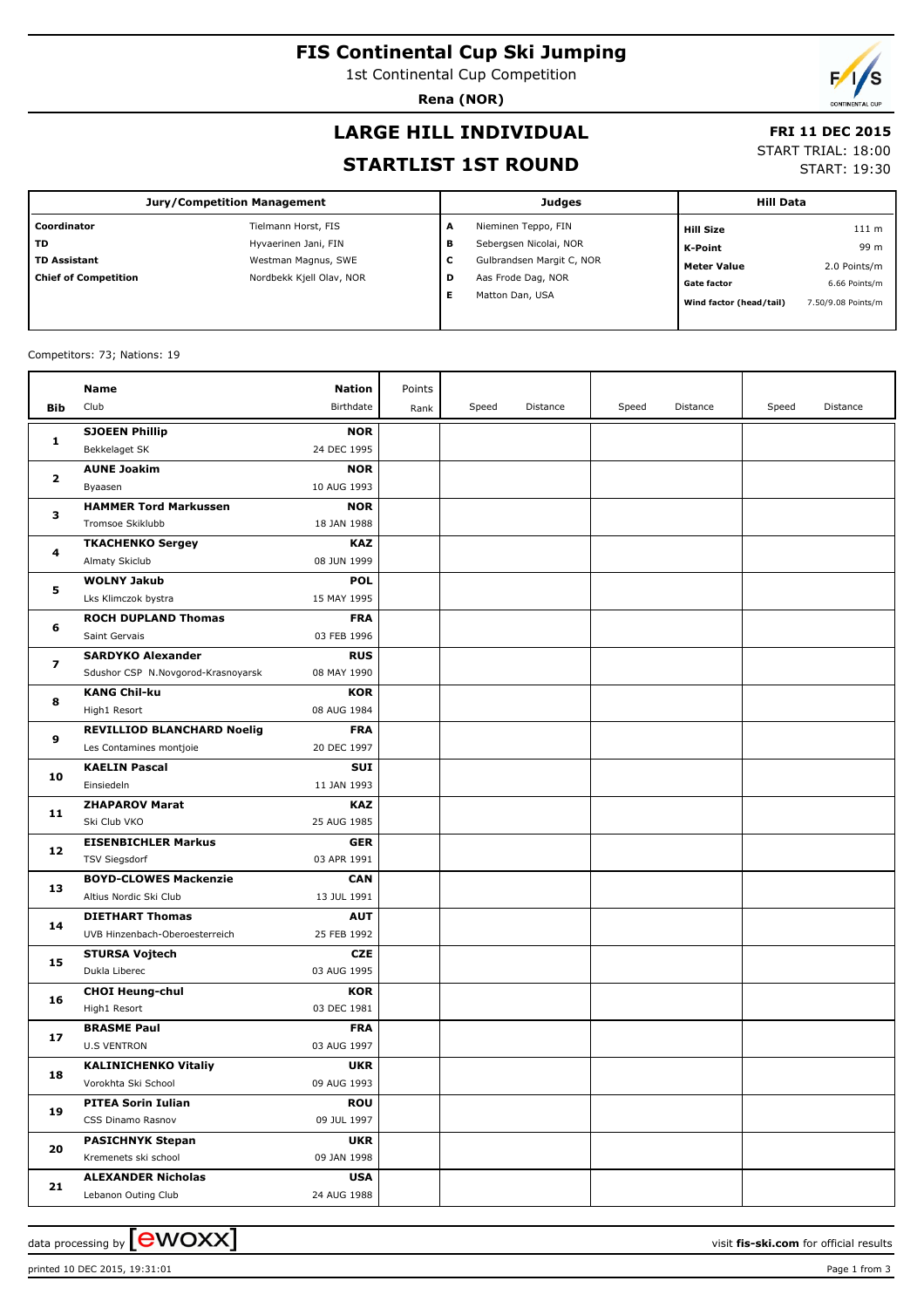### **FIS Continental Cup Ski Jumping**

1st Continental Cup Competition

**Rena (NOR)**

# **LARGE HILL INDIVIDUAL**

#### **FRI 11 DEC 2015**

#### **STARTLIST 1ST ROUND**

| START TRIAL: 18:00 |  |
|--------------------|--|

START: 19:30

| Judges                    | <b>Hill Data</b>                              |  |  |
|---------------------------|-----------------------------------------------|--|--|
| Nieminen Teppo, FIN       | 111 m<br><b>Hill Size</b>                     |  |  |
| Sebergsen Nicolai, NOR    | 99 m<br>K-Point                               |  |  |
| Gulbrandsen Margit C, NOR | 2.0 Points/m<br><b>Meter Value</b>            |  |  |
| Aas Frode Dag, NOR        | <b>Gate factor</b><br>6.66 Points/m           |  |  |
| Matton Dan, USA           | Wind factor (head/tail)<br>7.50/9.08 Points/m |  |  |
|                           | A<br>в<br>с<br>D                              |  |  |

#### Competitors: 73; Nations: 19

|                         | Name                                   | <b>Nation</b>             | Points |       |          |       |          |       |          |
|-------------------------|----------------------------------------|---------------------------|--------|-------|----------|-------|----------|-------|----------|
| Bib                     | Club                                   | Birthdate                 | Rank   | Speed | Distance | Speed | Distance | Speed | Distance |
|                         |                                        |                           |        |       |          |       |          |       |          |
| 1                       | <b>SJOEEN Phillip</b><br>Bekkelaget SK | <b>NOR</b><br>24 DEC 1995 |        |       |          |       |          |       |          |
|                         | <b>AUNE Joakim</b>                     | <b>NOR</b>                |        |       |          |       |          |       |          |
| $\mathbf{2}$            | Byaasen                                | 10 AUG 1993               |        |       |          |       |          |       |          |
|                         | <b>HAMMER Tord Markussen</b>           | <b>NOR</b>                |        |       |          |       |          |       |          |
| з                       | Tromsoe Skiklubb                       | 18 JAN 1988               |        |       |          |       |          |       |          |
|                         | <b>TKACHENKO Sergey</b>                | <b>KAZ</b>                |        |       |          |       |          |       |          |
| 4                       | Almaty Skiclub                         | 08 JUN 1999               |        |       |          |       |          |       |          |
|                         | <b>WOLNY Jakub</b>                     | <b>POL</b>                |        |       |          |       |          |       |          |
| 5                       | Lks Klimczok bystra                    | 15 MAY 1995               |        |       |          |       |          |       |          |
|                         | <b>ROCH DUPLAND Thomas</b>             | <b>FRA</b>                |        |       |          |       |          |       |          |
| 6                       | Saint Gervais                          | 03 FEB 1996               |        |       |          |       |          |       |          |
|                         | <b>SARDYKO Alexander</b>               | <b>RUS</b>                |        |       |          |       |          |       |          |
| $\overline{\mathbf{z}}$ | Sdushor CSP N.Novgorod-Krasnoyarsk     | 08 MAY 1990               |        |       |          |       |          |       |          |
|                         | <b>KANG Chil-ku</b>                    | <b>KOR</b>                |        |       |          |       |          |       |          |
| 8                       | High1 Resort                           | 08 AUG 1984               |        |       |          |       |          |       |          |
| 9                       | <b>REVILLIOD BLANCHARD Noelig</b>      | <b>FRA</b>                |        |       |          |       |          |       |          |
|                         | Les Contamines montjoie                | 20 DEC 1997               |        |       |          |       |          |       |          |
| 10                      | <b>KAELIN Pascal</b>                   | SUI                       |        |       |          |       |          |       |          |
|                         | Einsiedeln                             | 11 JAN 1993               |        |       |          |       |          |       |          |
| 11                      | <b>ZHAPAROV Marat</b>                  | <b>KAZ</b>                |        |       |          |       |          |       |          |
|                         | Ski Club VKO                           | 25 AUG 1985               |        |       |          |       |          |       |          |
|                         | <b>EISENBICHLER Markus</b>             | <b>GER</b>                |        |       |          |       |          |       |          |
| 12                      | <b>TSV Siegsdorf</b>                   | 03 APR 1991               |        |       |          |       |          |       |          |
| 13                      | <b>BOYD-CLOWES Mackenzie</b>           | <b>CAN</b>                |        |       |          |       |          |       |          |
|                         | Altius Nordic Ski Club                 | 13 JUL 1991               |        |       |          |       |          |       |          |
| 14                      | <b>DIETHART Thomas</b>                 | <b>AUT</b>                |        |       |          |       |          |       |          |
|                         | UVB Hinzenbach-Oberoesterreich         | 25 FEB 1992               |        |       |          |       |          |       |          |
| 15                      | <b>STURSA Vojtech</b>                  | <b>CZE</b>                |        |       |          |       |          |       |          |
|                         | Dukla Liberec                          | 03 AUG 1995               |        |       |          |       |          |       |          |
| 16                      | <b>CHOI Heung-chul</b>                 | KOR                       |        |       |          |       |          |       |          |
|                         | High1 Resort                           | 03 DEC 1981               |        |       |          |       |          |       |          |
| 17                      | <b>BRASME Paul</b>                     | <b>FRA</b>                |        |       |          |       |          |       |          |
|                         | <b>U.S VENTRON</b>                     | 03 AUG 1997               |        |       |          |       |          |       |          |
| 18                      | <b>KALINICHENKO Vitaliy</b>            | <b>UKR</b>                |        |       |          |       |          |       |          |
|                         | Vorokhta Ski School                    | 09 AUG 1993               |        |       |          |       |          |       |          |
| 19                      | <b>PITEA Sorin Iulian</b>              | <b>ROU</b>                |        |       |          |       |          |       |          |
|                         | CSS Dinamo Rasnov                      | 09 JUL 1997               |        |       |          |       |          |       |          |
| 20                      | <b>PASICHNYK Stepan</b>                | <b>UKR</b>                |        |       |          |       |          |       |          |
|                         | Kremenets ski school                   | 09 JAN 1998               |        |       |          |       |          |       |          |
| 21                      | <b>ALEXANDER Nicholas</b>              | <b>USA</b>                |        |       |          |       |          |       |          |
|                         | Lebanon Outing Club                    | 24 AUG 1988               |        |       |          |       |          |       |          |

printed 10 DEC 2015, 19:31:01 Page 1 from 3

data processing by **CWOXX**  $\blacksquare$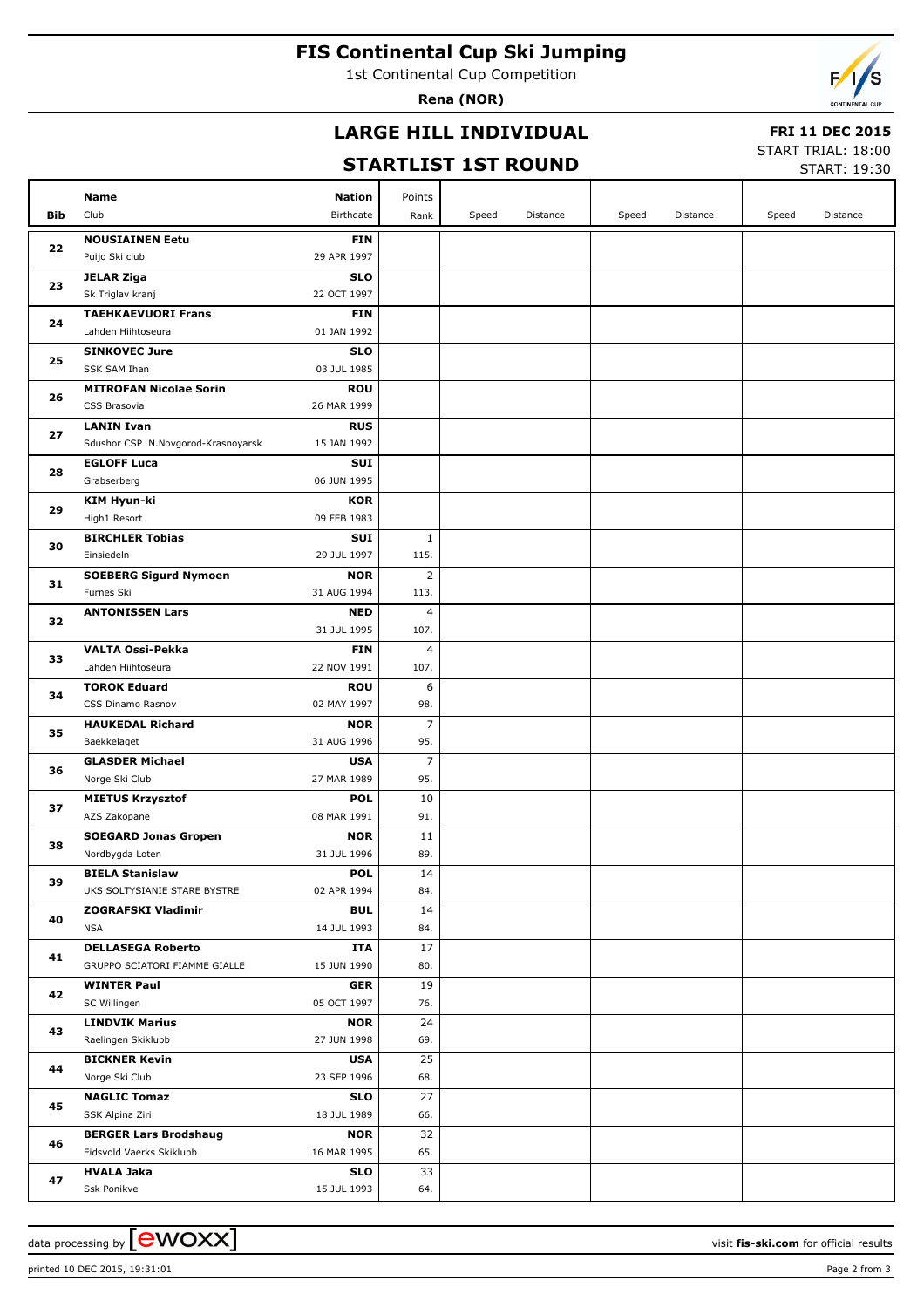# **FIS Continental Cup Ski Jumping**

1st Continental Cup Competition

**Rena (NOR)**

### **LARGE HILL INDIVIDUAL**

#### **FRI 11 DEC 2015**

# **STARTLIST 1ST ROUND**

START TRIAL: 18:00

|     | SIAKILISI ISI KUUND<br>START: 19:30     |                           |                        |       |          |       |          |       |          |
|-----|-----------------------------------------|---------------------------|------------------------|-------|----------|-------|----------|-------|----------|
|     | <b>Name</b>                             | <b>Nation</b>             | Points                 |       |          |       |          |       |          |
| Bib | Club                                    | Birthdate                 | Rank                   | Speed | Distance | Speed | Distance | Speed | Distance |
|     | <b>NOUSIAINEN Eetu</b>                  | <b>FIN</b>                |                        |       |          |       |          |       |          |
| 22  | Puijo Ski club                          | 29 APR 1997               |                        |       |          |       |          |       |          |
|     | <b>JELAR Ziga</b>                       | <b>SLO</b>                |                        |       |          |       |          |       |          |
| 23  | Sk Triglav kranj                        | 22 OCT 1997               |                        |       |          |       |          |       |          |
|     | <b>TAEHKAEVUORI Frans</b>               | <b>FIN</b>                |                        |       |          |       |          |       |          |
| 24  | Lahden Hiihtoseura                      | 01 JAN 1992               |                        |       |          |       |          |       |          |
|     | <b>SINKOVEC Jure</b>                    | <b>SLO</b>                |                        |       |          |       |          |       |          |
| 25  | SSK SAM Ihan                            | 03 JUL 1985               |                        |       |          |       |          |       |          |
|     | <b>MITROFAN Nicolae Sorin</b>           | <b>ROU</b>                |                        |       |          |       |          |       |          |
| 26  | CSS Brasovia                            | 26 MAR 1999               |                        |       |          |       |          |       |          |
| 27  | <b>LANIN Ivan</b>                       | <b>RUS</b>                |                        |       |          |       |          |       |          |
|     | Sdushor CSP N.Novgorod-Krasnoyarsk      | 15 JAN 1992               |                        |       |          |       |          |       |          |
| 28  | <b>EGLOFF Luca</b>                      | <b>SUI</b>                |                        |       |          |       |          |       |          |
|     | Grabserberg                             | 06 JUN 1995               |                        |       |          |       |          |       |          |
| 29  | KIM Hyun-ki                             | <b>KOR</b>                |                        |       |          |       |          |       |          |
|     | High1 Resort                            | 09 FEB 1983               |                        |       |          |       |          |       |          |
| 30  | <b>BIRCHLER Tobias</b>                  | <b>SUI</b>                | $\mathbf{1}$           |       |          |       |          |       |          |
|     | Einsiedeln                              | 29 JUL 1997               | 115.                   |       |          |       |          |       |          |
| 31  | <b>SOEBERG Sigurd Nymoen</b>            | <b>NOR</b>                | 2                      |       |          |       |          |       |          |
|     | Furnes Ski                              | 31 AUG 1994               | 113.                   |       |          |       |          |       |          |
| 32  | <b>ANTONISSEN Lars</b>                  | <b>NED</b><br>31 JUL 1995 | $\overline{4}$<br>107. |       |          |       |          |       |          |
|     | <b>VALTA Ossi-Pekka</b>                 | <b>FIN</b>                | $\overline{4}$         |       |          |       |          |       |          |
| 33  | Lahden Hiihtoseura                      | 22 NOV 1991               | 107.                   |       |          |       |          |       |          |
|     | <b>TOROK Eduard</b>                     | <b>ROU</b>                | 6                      |       |          |       |          |       |          |
| 34  | CSS Dinamo Rasnov                       | 02 MAY 1997               | 98.                    |       |          |       |          |       |          |
|     | <b>HAUKEDAL Richard</b>                 | <b>NOR</b>                | 7                      |       |          |       |          |       |          |
| 35  | Baekkelaget                             | 31 AUG 1996               | 95.                    |       |          |       |          |       |          |
| 36  | <b>GLASDER Michael</b>                  | <b>USA</b>                | $\overline{7}$         |       |          |       |          |       |          |
|     | Norge Ski Club                          | 27 MAR 1989               | 95.                    |       |          |       |          |       |          |
| 37  | <b>MIETUS Krzysztof</b>                 | <b>POL</b>                | 10                     |       |          |       |          |       |          |
|     | AZS Zakopane                            | 08 MAR 1991               | 91.                    |       |          |       |          |       |          |
| 38  | <b>SOEGARD Jonas Gropen</b>             | <b>NOR</b>                | 11                     |       |          |       |          |       |          |
|     | Nordbygda Loten                         | 31 JUL 1996               | 89.                    |       |          |       |          |       |          |
| 39  | <b>BIELA Stanislaw</b>                  | <b>POL</b>                | 14                     |       |          |       |          |       |          |
|     | UKS SOLTYSIANIE STARE BYSTRE            | 02 APR 1994               | 84.                    |       |          |       |          |       |          |
| 40  | <b>ZOGRAFSKI Vladimir</b><br><b>NSA</b> | <b>BUL</b>                | 14                     |       |          |       |          |       |          |
|     | <b>DELLASEGA Roberto</b>                | 14 JUL 1993<br>ITA        | 84.<br>17              |       |          |       |          |       |          |
| 41  | GRUPPO SCIATORI FIAMME GIALLE           | 15 JUN 1990               | 80.                    |       |          |       |          |       |          |
|     | <b>WINTER Paul</b>                      | <b>GER</b>                | 19                     |       |          |       |          |       |          |
| 42  | SC Willingen                            | 05 OCT 1997               | 76.                    |       |          |       |          |       |          |
|     | <b>LINDVIK Marius</b>                   | <b>NOR</b>                | 24                     |       |          |       |          |       |          |
| 43  | Raelingen Skiklubb                      | 27 JUN 1998               | 69.                    |       |          |       |          |       |          |
|     | <b>BICKNER Kevin</b>                    | <b>USA</b>                | 25                     |       |          |       |          |       |          |
| 44  | Norge Ski Club                          | 23 SEP 1996               | 68.                    |       |          |       |          |       |          |
|     | <b>NAGLIC Tomaz</b>                     | <b>SLO</b>                | 27                     |       |          |       |          |       |          |
| 45  | SSK Alpina Ziri                         | 18 JUL 1989               | 66.                    |       |          |       |          |       |          |
|     | <b>BERGER Lars Brodshaug</b>            | <b>NOR</b>                | 32                     |       |          |       |          |       |          |
| 46  | Eidsvold Vaerks Skiklubb                | 16 MAR 1995               | 65.                    |       |          |       |          |       |          |
| 47  | <b>HVALA Jaka</b>                       | <b>SLO</b>                | 33                     |       |          |       |          |       |          |
|     | Ssk Ponikve                             | 15 JUL 1993               | 64.                    |       |          |       |          |       |          |

data processing by **CWOXX**  $\blacksquare$